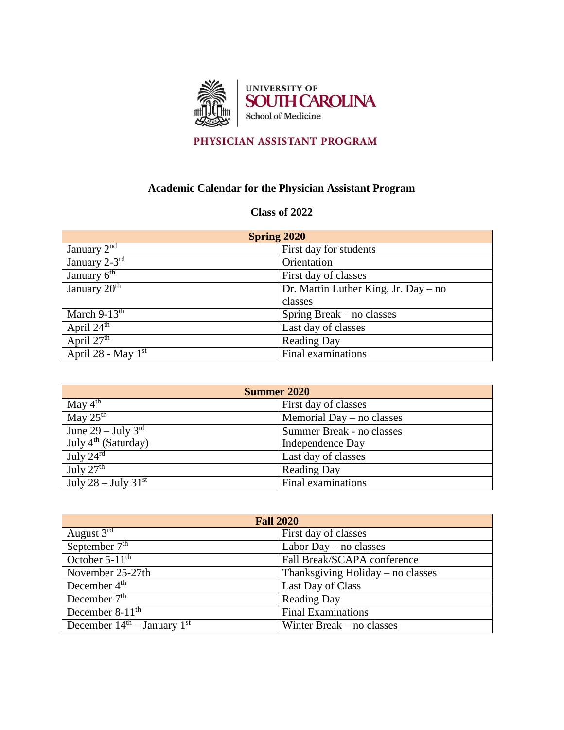

## PHYSICIAN ASSISTANT PROGRAM

## **Academic Calendar for the Physician Assistant Program**

## **Class of 2022**

| <b>Spring 2020</b>           |                                      |
|------------------------------|--------------------------------------|
| January $2^{n\overline{d}}$  | First day for students               |
| January $2-3^{rd}$           | Orientation                          |
| January $6^{\text{th}}$      | First day of classes                 |
| January $2\overline{0^{th}}$ | Dr. Martin Luther King, Jr. Day – no |
|                              | classes                              |
| March $9-13^{\text{th}}$     | Spring Break – no classes            |
| April $24^{\text{th}}$       | Last day of classes                  |
| April $27th$                 | <b>Reading Day</b>                   |
| April 28 - May $1st$         | Final examinations                   |

| <b>Summer 2020</b>                     |                             |
|----------------------------------------|-----------------------------|
| May $4^{\text{th}}$                    | First day of classes        |
| $\overline{\text{May }25^{\text{th}}}$ | Memorial Day $-$ no classes |
| June $29$ – July $3^{\text{rd}}$       | Summer Break - no classes   |
| July 4 <sup>th</sup> (Saturday)        | Independence Day            |
| July $24^{\text{rd}}$                  | Last day of classes         |
| July $27th$                            | <b>Reading Day</b>          |
| July 28 – July 31 $\rm ^{st}$          | Final examinations          |

| <b>Fall 2020</b>                |                                     |  |
|---------------------------------|-------------------------------------|--|
| August $3^{rd}$                 | First day of classes                |  |
| September $7th$                 | Labor Day $-$ no classes            |  |
| October $5-11^{\text{th}}$      | Fall Break/SCAPA conference         |  |
| November 25-27th                | Thanksgiving Holiday $-$ no classes |  |
| December 4 <sup>th</sup>        | Last Day of Class                   |  |
| December $7th$                  | <b>Reading Day</b>                  |  |
| December $8-11$ <sup>th</sup>   | <b>Final Examinations</b>           |  |
| December $14th$ – January $1st$ | Winter Break – no classes           |  |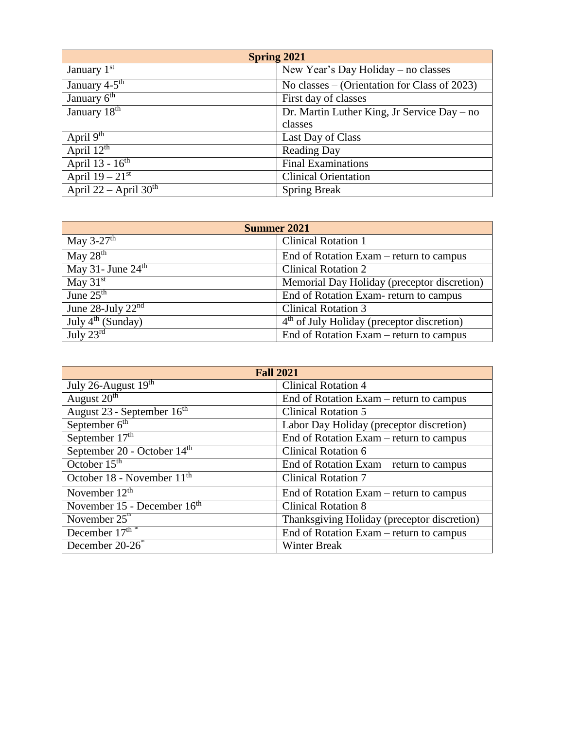| <b>Spring 2021</b>          |                                              |
|-----------------------------|----------------------------------------------|
| January $1st$               | New Year's Day Holiday – no classes          |
| January $4-5$ <sup>th</sup> | No classes – (Orientation for Class of 2023) |
| January 6 <sup>th</sup>     | First day of classes                         |
| January 18 <sup>th</sup>    | Dr. Martin Luther King, Jr Service Day – no  |
|                             | classes                                      |
| April $9^{th}$              | Last Day of Class                            |
| April $12^{\text{th}}$      | <b>Reading Day</b>                           |
| April $13 - 16^{\text{th}}$ | <b>Final Examinations</b>                    |
| April $19-21^{st}$          | <b>Clinical Orientation</b>                  |
| April 22 – April $30th$     | <b>Spring Break</b>                          |

| <b>Summer 2021</b>                |                                              |
|-----------------------------------|----------------------------------------------|
| May 3-27 <sup>th</sup>            | <b>Clinical Rotation 1</b>                   |
| May $28th$                        | End of Rotation Exam – return to campus      |
| May 31 - June $24th$              | <b>Clinical Rotation 2</b>                   |
| May $31st$                        | Memorial Day Holiday (preceptor discretion)  |
| June $25th$                       | End of Rotation Exam-return to campus        |
| June 28-July $22^{\overline{nd}}$ | <b>Clinical Rotation 3</b>                   |
| July $4^{th}$ (Sunday)            | $4th$ of July Holiday (preceptor discretion) |
| July $23^{\text{rd}}$             | End of Rotation Exam – return to campus      |

| <b>Fall 2021</b>                       |                                             |
|----------------------------------------|---------------------------------------------|
| July 26-August $19th$                  | <b>Clinical Rotation 4</b>                  |
| August 20 <sup>th</sup>                | End of Rotation Exam – return to campus     |
| August 23 - September 16 <sup>th</sup> | <b>Clinical Rotation 5</b>                  |
| September $6th$                        | Labor Day Holiday (preceptor discretion)    |
| September $17th$                       | End of Rotation Exam – return to campus     |
| September 20 - October 14th            | <b>Clinical Rotation 6</b>                  |
| October $15th$                         | End of Rotation Exam – return to campus     |
| October 18 - November 11 <sup>th</sup> | <b>Clinical Rotation 7</b>                  |
| November $12th$                        | End of Rotation Exam – return to campus     |
| November 15 - December 16th            | <b>Clinical Rotation 8</b>                  |
| November $25^{\circ}$                  | Thanksgiving Holiday (preceptor discretion) |
| December $17thm$                       | End of Rotation Exam – return to campus     |
| December $20-26$ <sup>"</sup>          | <b>Winter Break</b>                         |